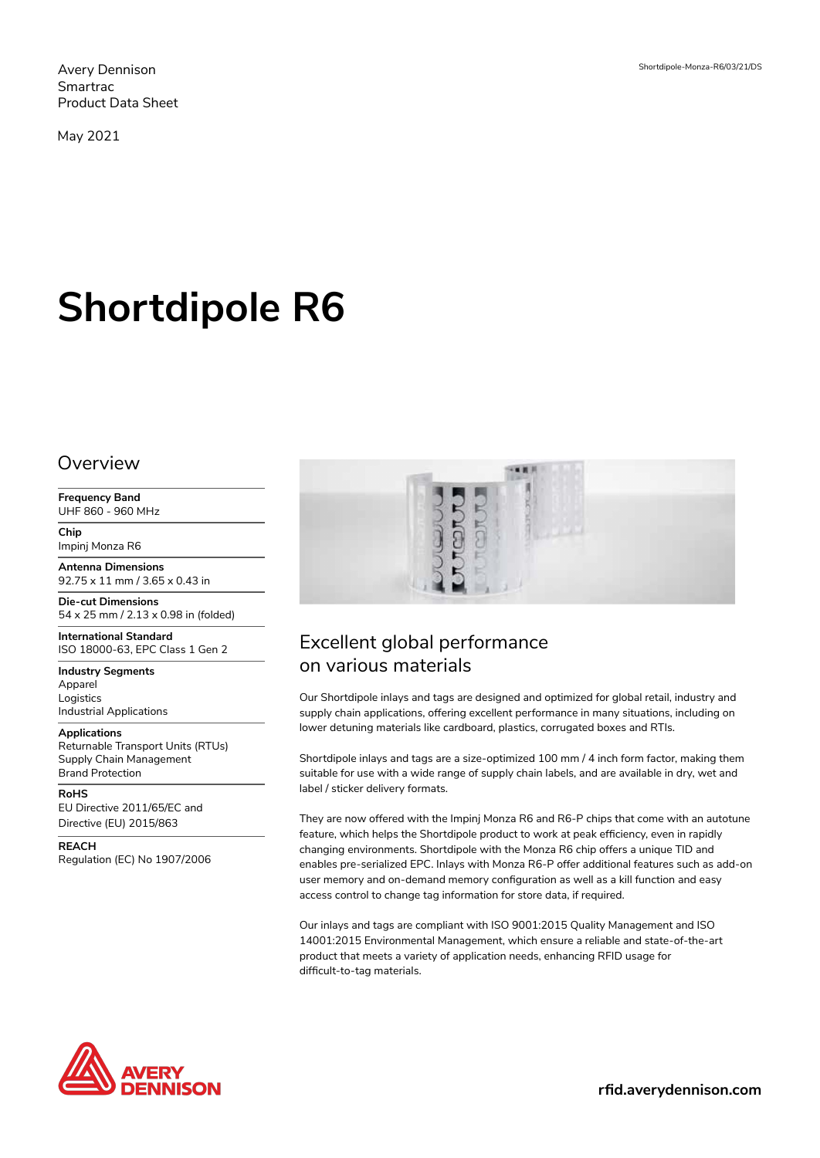Avery Dennison Smartrac Product Data Sheet

May 2021

# **Shortdipole R6**

### **Overview**

**Frequency Band** UHF 860 - 960 MHz

**Chip** Impinj Monza R6

**Antenna Dimensions** 92.75 x 11 mm / 3.65 x 0.43 in

**Die-cut Dimensions** 54 x 25 mm / 2.13 x 0.98 in (folded)

**International Standard** ISO 18000-63, EPC Class 1 Gen 2

**Industry Segments** Apparel Logistics Industrial Applications

**Applications** Returnable Transport Units (RTUs) Supply Chain Management Brand Protection

**RoHS**

EU Directive 2011/65/EC and Directive (EU) 2015/863

**REACH**

Regulation (EC) No 1907/2006



# Excellent global performance on various materials

Our Shortdipole inlays and tags are designed and optimized for global retail, industry and supply chain applications, offering excellent performance in many situations, including on lower detuning materials like cardboard, plastics, corrugated boxes and RTIs.

Shortdipole inlays and tags are a size-optimized 100 mm / 4 inch form factor, making them suitable for use with a wide range of supply chain labels, and are available in dry, wet and label / sticker delivery formats.

They are now offered with the Impinj Monza R6 and R6-P chips that come with an autotune feature, which helps the Shortdipole product to work at peak efficiency, even in rapidly changing environments. Shortdipole with the Monza R6 chip offers a unique TID and enables pre-serialized EPC. Inlays with Monza R6-P offer additional features such as add-on user memory and on-demand memory configuration as well as a kill function and easy access control to change tag information for store data, if required.

Our inlays and tags are compliant with ISO 9001:2015 Quality Management and ISO 14001:2015 Environmental Management, which ensure a reliable and state-of-the-art product that meets a variety of application needs, enhancing RFID usage for difficult-to-tag materials.